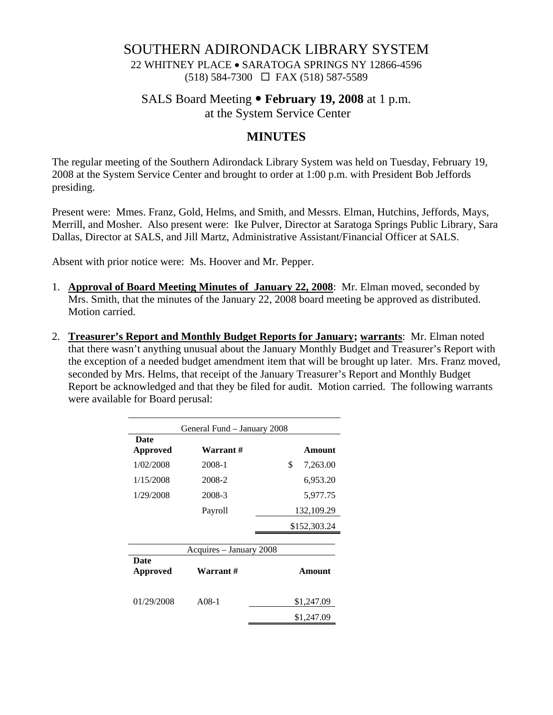## SOUTHERN ADIRONDACK LIBRARY SYSTEM

22 WHITNEY PLACE • SARATOGA SPRINGS NY 12866-4596 (518) 584-7300 FAX (518) 587-5589

### SALS Board Meeting • **February 19, 2008** at 1 p.m.

at the System Service Center

# **MINUTES**

The regular meeting of the Southern Adirondack Library System was held on Tuesday, February 19, 2008 at the System Service Center and brought to order at 1:00 p.m. with President Bob Jeffords presiding.

Present were: Mmes. Franz, Gold, Helms, and Smith, and Messrs. Elman, Hutchins, Jeffords, Mays, Merrill, and Mosher. Also present were: Ike Pulver, Director at Saratoga Springs Public Library, Sara Dallas, Director at SALS, and Jill Martz, Administrative Assistant/Financial Officer at SALS.

Absent with prior notice were: Ms. Hoover and Mr. Pepper.

- 1. **Approval of Board Meeting Minutes of January 22, 2008**: Mr. Elman moved, seconded by Mrs. Smith, that the minutes of the January 22, 2008 board meeting be approved as distributed. Motion carried.
- 2. **Treasurer's Report and Monthly Budget Reports for January; warrants**: Mr. Elman noted that there wasn't anything unusual about the January Monthly Budget and Treasurer's Report with the exception of a needed budget amendment item that will be brought up later. Mrs. Franz moved, seconded by Mrs. Helms, that receipt of the January Treasurer's Report and Monthly Budget Report be acknowledged and that they be filed for audit. Motion carried. The following warrants were available for Board perusal:

| General Fund - January 2008 |                         |                |
|-----------------------------|-------------------------|----------------|
| <b>Date</b><br>Approved     | Warrant #               | Amount         |
| 1/02/2008                   | 2008-1                  | \$<br>7,263.00 |
| 1/15/2008                   | 2008-2                  | 6,953.20       |
| 1/29/2008                   | 2008-3                  | 5,977.75       |
|                             | Payroll                 | 132,109.29     |
|                             |                         | \$152,303.24   |
|                             | Acquires – January 2008 |                |
| <b>Date</b><br>Approved     | Warrant #               | Amount         |
| 01/29/2008                  | $A08-1$                 | \$1,247.09     |
|                             |                         | \$1,247.09     |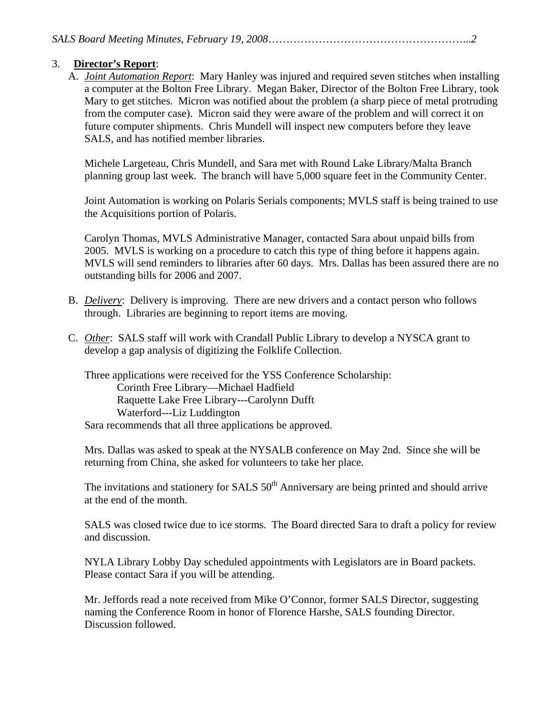#### 3. **Director's Report**:

A. *Joint Automation Report*: Mary Hanley was injured and required seven stitches when installing a computer at the Bolton Free Library. Megan Baker, Director of the Bolton Free Library, took Mary to get stitches. Micron was notified about the problem (a sharp piece of metal protruding from the computer case). Micron said they were aware of the problem and will correct it on future computer shipments. Chris Mundell will inspect new computers before they leave SALS, and has notified member libraries.

Michele Largeteau, Chris Mundell, and Sara met with Round Lake Library/Malta Branch planning group last week. The branch will have 5,000 square feet in the Community Center.

Joint Automation is working on Polaris Serials components; MVLS staff is being trained to use the Acquisitions portion of Polaris.

Carolyn Thomas, MVLS Administrative Manager, contacted Sara about unpaid bills from 2005. MVLS is working on a procedure to catch this type of thing before it happens again. MVLS will send reminders to libraries after 60 days. Mrs. Dallas has been assured there are no outstanding bills for 2006 and 2007.

- B. *Delivery*: Delivery is improving. There are new drivers and a contact person who follows through. Libraries are beginning to report items are moving.
- C. *Other*: SALS staff will work with Crandall Public Library to develop a NYSCA grant to develop a gap analysis of digitizing the Folklife Collection.

Three applications were received for the YSS Conference Scholarship: Corinth Free Library—Michael Hadfield Raquette Lake Free Library---Carolynn Dufft Waterford---Liz Luddington Sara recommends that all three applications be approved.

Mrs. Dallas was asked to speak at the NYSALB conference on May 2nd. Since she will be returning from China, she asked for volunteers to take her place.

The invitations and stationery for SALS  $50<sup>th</sup>$  Anniversary are being printed and should arrive at the end of the month.

SALS was closed twice due to ice storms. The Board directed Sara to draft a policy for review and discussion.

 NYLA Library Lobby Day scheduled appointments with Legislators are in Board packets. Please contact Sara if you will be attending.

Mr. Jeffords read a note received from Mike O'Connor, former SALS Director, suggesting naming the Conference Room in honor of Florence Harshe, SALS founding Director. Discussion followed.